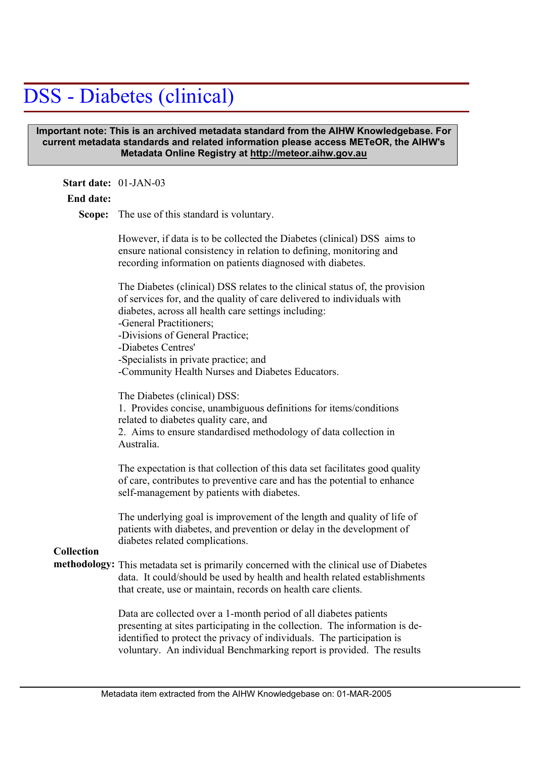# DSS - Diabetes (clinical)

#### **Important note: This is an archived metadata standard from the AIHW Knowledgebase. For current metadata standards and related information please access METeOR, the AIHW's Metadata Online Registry at http://meteor.aihw.gov.au**

#### **Start date:** 01-JAN-03

### **End date:**

Scope: The use of this standard is voluntary.

|                   | However, if data is to be collected the Diabetes (clinical) DSS aims to<br>ensure national consistency in relation to defining, monitoring and<br>recording information on patients diagnosed with diabetes.                                                                                                                                                                                    |
|-------------------|-------------------------------------------------------------------------------------------------------------------------------------------------------------------------------------------------------------------------------------------------------------------------------------------------------------------------------------------------------------------------------------------------|
|                   | The Diabetes (clinical) DSS relates to the clinical status of, the provision<br>of services for, and the quality of care delivered to individuals with<br>diabetes, across all health care settings including:<br>-General Practitioners;<br>-Divisions of General Practice;<br>-Diabetes Centres'<br>-Specialists in private practice; and<br>-Community Health Nurses and Diabetes Educators. |
|                   | The Diabetes (clinical) DSS:<br>1. Provides concise, unambiguous definitions for items/conditions<br>related to diabetes quality care, and<br>2. Aims to ensure standardised methodology of data collection in<br>Australia.                                                                                                                                                                    |
|                   | The expectation is that collection of this data set facilitates good quality<br>of care, contributes to preventive care and has the potential to enhance<br>self-management by patients with diabetes.                                                                                                                                                                                          |
| <b>Collection</b> | The underlying goal is improvement of the length and quality of life of<br>patients with diabetes, and prevention or delay in the development of<br>diabetes related complications.                                                                                                                                                                                                             |
|                   | methodology: This metadata set is primarily concerned with the clinical use of Diabetes<br>data. It could/should be used by health and health related establishments<br>that create, use or maintain, records on health care clients.                                                                                                                                                           |
|                   | Data are collected over a 1-month period of all diabetes patients                                                                                                                                                                                                                                                                                                                               |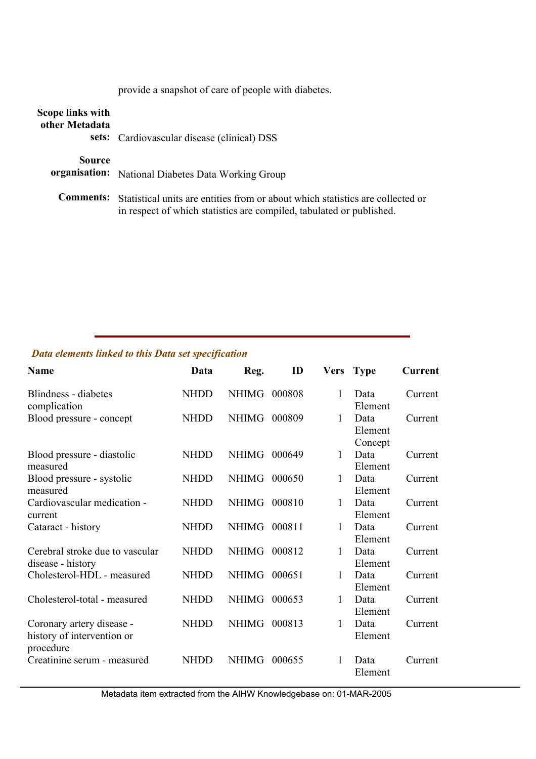| Scope links with<br>other Metadata | <b>sets:</b> Cardiovascular disease (clinical) DSS                                                                                                     |
|------------------------------------|--------------------------------------------------------------------------------------------------------------------------------------------------------|
| Source                             | organisation: National Diabetes Data Working Group                                                                                                     |
| <b>Comments:</b>                   | Statistical units are entities from or about which statistics are collected or<br>in respect of which statistics are compiled, tabulated or published. |

## *Data elements linked to this Data set specification*

| <b>Name</b>                                                          | Data        | Reg.         | ID     |              | Vers Type                  | Current |
|----------------------------------------------------------------------|-------------|--------------|--------|--------------|----------------------------|---------|
| Blindness - diabetes<br>complication                                 | <b>NHDD</b> | <b>NHIMG</b> | 000808 | 1            | Data<br>Element            | Current |
| Blood pressure - concept                                             | <b>NHDD</b> | <b>NHIMG</b> | 000809 | 1            | Data<br>Element<br>Concept | Current |
| Blood pressure - diastolic<br>measured                               | <b>NHDD</b> | <b>NHIMG</b> | 000649 | 1            | Data<br>Element            | Current |
| Blood pressure - systolic<br>measured                                | <b>NHDD</b> | <b>NHIMG</b> | 000650 | $\mathbf{1}$ | Data<br>Element            | Current |
| Cardiovascular medication -<br>current                               | <b>NHDD</b> | <b>NHIMG</b> | 000810 | 1            | Data<br>Element            | Current |
| Cataract - history                                                   | <b>NHDD</b> | <b>NHIMG</b> | 000811 | 1            | Data<br>Element            | Current |
| Cerebral stroke due to vascular<br>disease - history                 | <b>NHDD</b> | <b>NHIMG</b> | 000812 | 1            | Data<br>Element            | Current |
| Cholesterol-HDL - measured                                           | <b>NHDD</b> | <b>NHIMG</b> | 000651 | 1            | Data<br>Element            | Current |
| Cholesterol-total - measured                                         | <b>NHDD</b> | <b>NHIMG</b> | 000653 | 1            | Data<br>Element            | Current |
| Coronary artery disease -<br>history of intervention or<br>procedure | <b>NHDD</b> | <b>NHIMG</b> | 000813 | 1            | Data<br>Element            | Current |
| Creatinine serum - measured                                          | NHDD        | <b>NHIMG</b> | 000655 | 1            | Data<br>Element            | Current |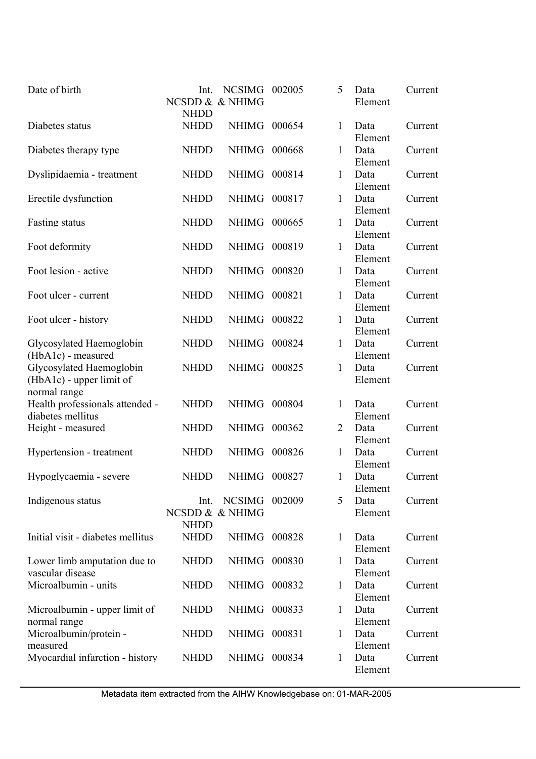| Date of birth                                                          | Int.<br><b>NHDD</b> | <b>NCSIMG</b><br>NCSDD & & NHIMG | 002005 | 5              | Data<br>Element | Current |
|------------------------------------------------------------------------|---------------------|----------------------------------|--------|----------------|-----------------|---------|
| Diabetes status                                                        | <b>NHDD</b>         | NHIMG                            | 000654 | $\mathbf{1}$   | Data<br>Element | Current |
| Diabetes therapy type                                                  | <b>NHDD</b>         | <b>NHIMG</b>                     | 000668 | $\mathbf{1}$   | Data<br>Element | Current |
| Dyslipidaemia - treatment                                              | <b>NHDD</b>         | <b>NHIMG</b>                     | 000814 | 1              | Data<br>Element | Current |
| Erectile dysfunction                                                   | <b>NHDD</b>         | <b>NHIMG</b>                     | 000817 | 1              | Data<br>Element | Current |
| <b>Fasting status</b>                                                  | <b>NHDD</b>         | <b>NHIMG</b>                     | 000665 | 1              | Data<br>Element | Current |
| Foot deformity                                                         | <b>NHDD</b>         | <b>NHIMG</b>                     | 000819 | $\mathbf{1}$   | Data<br>Element | Current |
| Foot lesion - active                                                   | <b>NHDD</b>         | <b>NHIMG</b>                     | 000820 | $\mathbf{1}$   | Data<br>Element | Current |
| Foot ulcer - current                                                   | <b>NHDD</b>         | <b>NHIMG</b>                     | 000821 | 1              | Data<br>Element | Current |
| Foot ulcer - history                                                   | <b>NHDD</b>         | <b>NHIMG</b>                     | 000822 | $\mathbf{1}$   | Data<br>Element | Current |
| Glycosylated Haemoglobin<br>(HbA1c) - measured                         | <b>NHDD</b>         | <b>NHIMG</b>                     | 000824 | $\mathbf{1}$   | Data<br>Element | Current |
| Glycosylated Haemoglobin<br>$(HbA1c)$ - upper limit of<br>normal range | <b>NHDD</b>         | <b>NHIMG</b>                     | 000825 | $\mathbf{1}$   | Data<br>Element | Current |
| Health professionals attended -<br>diabetes mellitus                   | <b>NHDD</b>         | <b>NHIMG</b>                     | 000804 | 1              | Data<br>Element | Current |
| Height - measured                                                      | <b>NHDD</b>         | <b>NHIMG</b>                     | 000362 | $\overline{2}$ | Data<br>Element | Current |
| Hypertension - treatment                                               | <b>NHDD</b>         | <b>NHIMG</b>                     | 000826 | $\mathbf{1}$   | Data<br>Element | Current |
| Hypoglycaemia - severe                                                 | <b>NHDD</b>         | <b>NHIMG</b>                     | 000827 | $\mathbf{1}$   | Data<br>Element | Current |
| Indigenous status                                                      | Int.<br><b>NHDD</b> | <b>NCSIMG</b><br>NCSDD & & NHIMG | 002009 | 5              | Data<br>Element | Current |
| Initial visit - diabetes mellitus                                      | <b>NHDD</b>         | <b>NHIMG</b>                     | 000828 | 1              | Data<br>Element | Current |
| Lower limb amputation due to<br>vascular disease                       | <b>NHDD</b>         | <b>NHIMG</b>                     | 000830 | 1              | Data<br>Element | Current |
| Microalbumin - units                                                   | <b>NHDD</b>         | NHIMG                            | 000832 | 1              | Data<br>Element | Current |
| Microalbumin - upper limit of<br>normal range                          | <b>NHDD</b>         | <b>NHIMG</b>                     | 000833 | $\mathbf{1}$   | Data<br>Element | Current |
| Microalbumin/protein -<br>measured                                     | <b>NHDD</b>         | <b>NHIMG</b>                     | 000831 | 1              | Data<br>Element | Current |
| Myocardial infarction - history                                        | <b>NHDD</b>         | NHIMG 000834                     |        | 1              | Data<br>Element | Current |